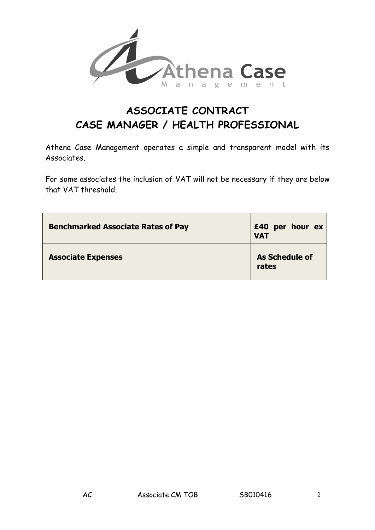

# **ASSOCIATE CONTRACT CASE MANAGER / HEALTH PROFESSIONAL**

Athena Case Management operates a simple and transparent model with its Associates.

For some associates the inclusion of VAT will not be necessary if they are below that VAT threshold.

| <b>Benchmarked Associate Rates of Pay</b> | £40 per hour ex<br><b>VAT</b>  |
|-------------------------------------------|--------------------------------|
| <b>Associate Expenses</b>                 | <b>As Schedule of</b><br>rates |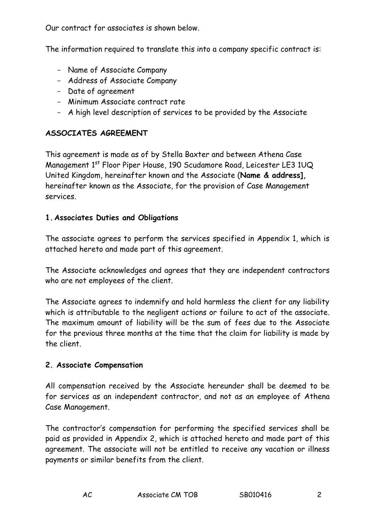Our contract for associates is shown below.

The information required to translate this into a company specific contract is:

- Name of Associate Company
- Address of Associate Company
- Date of agreement
- Minimum Associate contract rate
- A high level description of services to be provided by the Associate

# **ASSOCIATES AGREEMENT**

This agreement is made as of by Stella Baxter and between Athena Case Management 1<sup>st</sup> Floor Piper House, 190 Scudamore Road, Leicester LE3 1UQ United Kingdom, hereinafter known and the Associate (**Name & address],** hereinafter known as the Associate, for the provision of Case Management services.

# **1.Associates Duties and Obligations**

The associate agrees to perform the services specified in Appendix 1, which is attached hereto and made part of this agreement.

The Associate acknowledges and agrees that they are independent contractors who are not employees of the client.

The Associate agrees to indemnify and hold harmless the client for any liability which is attributable to the negligent actions or failure to act of the associate. The maximum amount of liability will be the sum of fees due to the Associate for the previous three months at the time that the claim for liability is made by the client.

# **2. Associate Compensation**

All compensation received by the Associate hereunder shall be deemed to be for services as an independent contractor, and not as an employee of Athena Case Management.

The contractor's compensation for performing the specified services shall be paid as provided in Appendix 2, which is attached hereto and made part of this agreement. The associate will not be entitled to receive any vacation or illness payments or similar benefits from the client.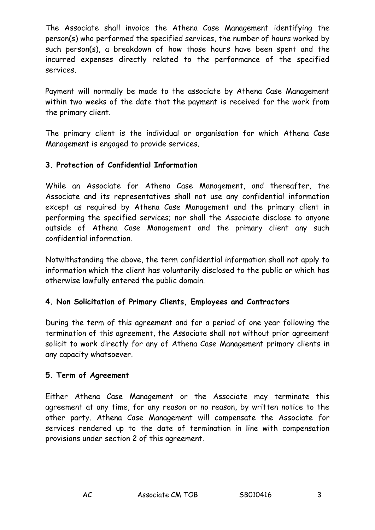The Associate shall invoice the Athena Case Management identifying the person(s) who performed the specified services, the number of hours worked by such person(s), a breakdown of how those hours have been spent and the incurred expenses directly related to the performance of the specified services.

Payment will normally be made to the associate by Athena Case Management within two weeks of the date that the payment is received for the work from the primary client.

The primary client is the individual or organisation for which Athena Case Management is engaged to provide services.

# **3. Protection of Confidential Information**

While an Associate for Athena Case Management, and thereafter, the Associate and its representatives shall not use any confidential information except as required by Athena Case Management and the primary client in performing the specified services; nor shall the Associate disclose to anyone outside of Athena Case Management and the primary client any such confidential information.

Notwithstanding the above, the term confidential information shall not apply to information which the client has voluntarily disclosed to the public or which has otherwise lawfully entered the public domain.

# **4. Non Solicitation of Primary Clients, Employees and Contractors**

During the term of this agreement and for a period of one year following the termination of this agreement, the Associate shall not without prior agreement solicit to work directly for any of Athena Case Management primary clients in any capacity whatsoever.

# **5. Term of Agreement**

Either Athena Case Management or the Associate may terminate this agreement at any time, for any reason or no reason, by written notice to the other party. Athena Case Management will compensate the Associate for services rendered up to the date of termination in line with compensation provisions under section 2 of this agreement.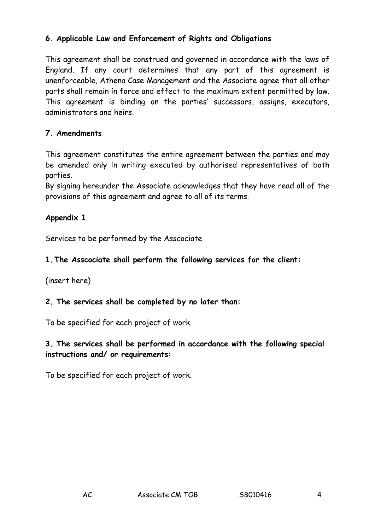# **6. Applicable Law and Enforcement of Rights and Obligations**

This agreement shall be construed and governed in accordance with the laws of England. If any court determines that any part of this agreement is unenforceable, Athena Case Management and the Associate agree that all other parts shall remain in force and effect to the maximum extent permitted by law. This agreement is binding on the parties' successors, assigns, executors, administrators and heirs.

# **7. Amendments**

This agreement constitutes the entire agreement between the parties and may be amended only in writing executed by authorised representatives of both parties.

By signing hereunder the Associate acknowledges that they have read all of the provisions of this agreement and agree to all of its terms.

# **Appendix 1**

Services to be performed by the Asscociate

#### **1.The Asscociate shall perform the following services for the client:**

(insert here)

#### **2. The services shall be completed by no later than:**

To be specified for each project of work.

#### **3. The services shall be performed in accordance with the following special instructions and/ or requirements:**

To be specified for each project of work.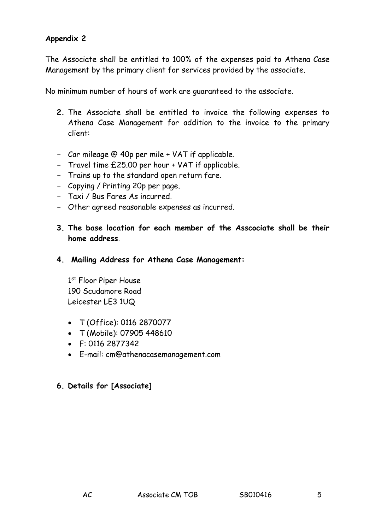#### **Appendix 2**

The Associate shall be entitled to 100% of the expenses paid to Athena Case Management by the primary client for services provided by the associate.

No minimum number of hours of work are guaranteed to the associate.

- **2.** The Associate shall be entitled to invoice the following expenses to Athena Case Management for addition to the invoice to the primary client:
- Car mileage @ 40p per mile + VAT if applicable.
- Travel time £25.00 per hour + VAT if applicable.
- Trains up to the standard open return fare.
- Copying / Printing 20p per page.
- Taxi / Bus Fares As incurred.
- Other agreed reasonable expenses as incurred.
- **3. The base location for each member of the Asscociate shall be their home address**.
- **4. Mailing Address for Athena Case Management:**

1st Floor Piper House 190 Scudamore Road Leicester LE3 1UQ

- T (Office): 0116 2870077
- T (Mobile): 07905 448610
- F: 0116 2877342
- E-mail: cm@athenacasemanagement.com

# **6. Details for [Associate]**